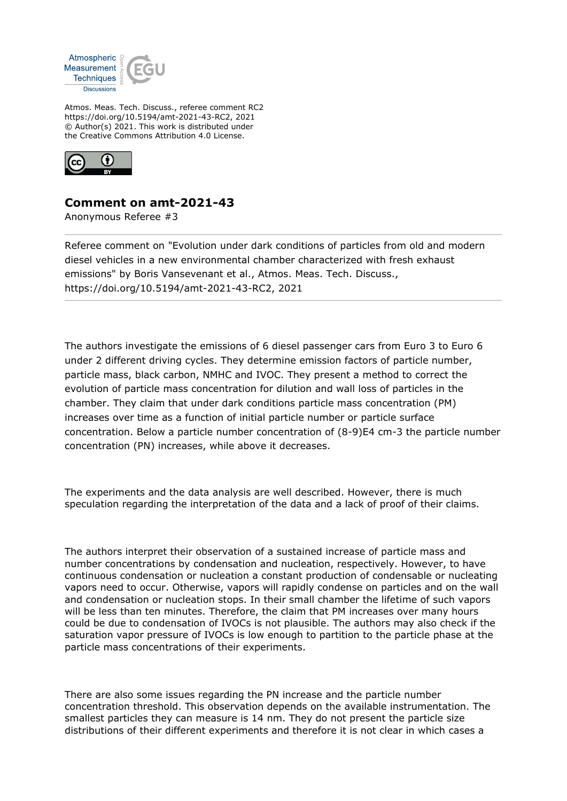

Atmos. Meas. Tech. Discuss., referee comment RC2 https://doi.org/10.5194/amt-2021-43-RC2, 2021 © Author(s) 2021. This work is distributed under the Creative Commons Attribution 4.0 License.



## **Comment on amt-2021-43**

Anonymous Referee #3

Referee comment on "Evolution under dark conditions of particles from old and modern diesel vehicles in a new environmental chamber characterized with fresh exhaust emissions" by Boris Vansevenant et al., Atmos. Meas. Tech. Discuss., https://doi.org/10.5194/amt-2021-43-RC2, 2021

The authors investigate the emissions of 6 diesel passenger cars from Euro 3 to Euro 6 under 2 different driving cycles. They determine emission factors of particle number, particle mass, black carbon, NMHC and IVOC. They present a method to correct the evolution of particle mass concentration for dilution and wall loss of particles in the chamber. They claim that under dark conditions particle mass concentration (PM) increases over time as a function of initial particle number or particle surface concentration. Below a particle number concentration of (8-9)E4 cm-3 the particle number concentration (PN) increases, while above it decreases.

The experiments and the data analysis are well described. However, there is much speculation regarding the interpretation of the data and a lack of proof of their claims.

The authors interpret their observation of a sustained increase of particle mass and number concentrations by condensation and nucleation, respectively. However, to have continuous condensation or nucleation a constant production of condensable or nucleating vapors need to occur. Otherwise, vapors will rapidly condense on particles and on the wall and condensation or nucleation stops. In their small chamber the lifetime of such vapors will be less than ten minutes. Therefore, the claim that PM increases over many hours could be due to condensation of IVOCs is not plausible. The authors may also check if the saturation vapor pressure of IVOCs is low enough to partition to the particle phase at the particle mass concentrations of their experiments.

There are also some issues regarding the PN increase and the particle number concentration threshold. This observation depends on the available instrumentation. The smallest particles they can measure is 14 nm. They do not present the particle size distributions of their different experiments and therefore it is not clear in which cases a